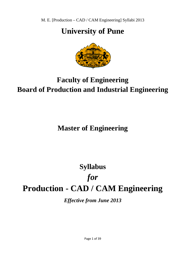## **University of Pune**



## **Faculty of Engineering Board of Production and Industrial Engineering**

## **Master of Engineering**

# **Production - CAD / CAM Engineering Syllabus**  *for*

*Effective from June 2013*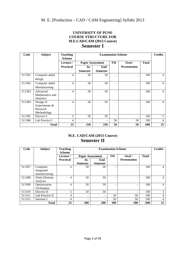#### **UNIVERSITY OF PUNE COURSE STRUCTURE FOR M.E.CAD/CAM (2013 Course) Semester I**

| Code   | <b>Subject</b>    | <b>Teaching</b><br><b>Scheme</b> | <b>Examination Scheme</b> |                 |    |                     |              |                |
|--------|-------------------|----------------------------------|---------------------------|-----------------|----|---------------------|--------------|----------------|
|        |                   | Lecture /                        | <b>Paper Assessment</b>   |                 | TW | Oral/               | <b>Total</b> |                |
|        |                   | <b>Practical</b>                 | In-                       | End-            |    | <b>Presentation</b> |              |                |
|        |                   |                                  | <b>Semester</b>           | <b>Semester</b> |    |                     |              |                |
| 511301 | Computer aided    | 4                                | 50                        | 50              |    |                     | 100          | $\overline{4}$ |
|        | design            |                                  |                           |                 |    |                     |              |                |
| 511302 | Computer aided    | $\overline{4}$                   | 50                        | 50              |    |                     | 100          | $\overline{4}$ |
|        | Manufacturing     |                                  |                           |                 |    |                     |              |                |
| 511303 | Advanced          | 4                                | 50                        | 50              | ۰  |                     | 100          | $\overline{4}$ |
|        | Mathematics and   |                                  |                           |                 |    |                     |              |                |
|        | <b>Statistics</b> |                                  |                           |                 |    |                     |              |                |
| 511304 | Design of         | $\overline{4}$                   | 50                        | 50              |    |                     | 100          | $\overline{4}$ |
|        | Experiments &     |                                  |                           |                 |    |                     |              |                |
|        | Research          |                                  |                           |                 |    |                     |              |                |
|        | Methodology       |                                  |                           |                 |    |                     |              |                |
| 511305 | Elective I        | 5                                | 50                        | 50              |    |                     | 100          | 5              |
| 511306 | Lab Practice I    | 4                                | $\qquad \qquad -$         |                 | 50 | 50                  | 100          | $\overline{4}$ |
|        | <b>Total</b>      | 25                               | 250                       | 250             | 50 | 50                  | 600          | 25             |

## **M.E. CAD/CAM (2013 Course) Semester II**

| Code   | <b>Subject</b>        | <b>Teaching</b><br><b>Scheme</b> | <b>Examination Scheme</b> |                         |                          |                          |              | <b>Credits</b> |
|--------|-----------------------|----------------------------------|---------------------------|-------------------------|--------------------------|--------------------------|--------------|----------------|
|        |                       | Lecture /                        |                           | <b>Paper Assessment</b> |                          | Oral/                    | <b>Total</b> |                |
|        |                       | <b>Practical</b>                 | In-                       | End-                    |                          | <b>Presentation</b>      |              |                |
|        |                       |                                  | <b>Semester</b>           | <b>Semester</b>         |                          |                          |              |                |
| 511307 | Computer              | 4                                | 50                        | 50                      |                          | $\overline{\phantom{a}}$ | 100          | 4              |
|        | integrated            |                                  |                           |                         |                          |                          |              |                |
|        | manufacturing         |                                  |                           |                         |                          |                          |              |                |
| 511308 | <b>Finite Element</b> | 4                                | 50                        | 50                      |                          | $\overline{\phantom{a}}$ | 100          | 4              |
|        | Analysis              |                                  |                           |                         |                          |                          |              |                |
| 511309 | Optimization          | 4                                | 50                        | 50                      |                          | $\overline{\phantom{a}}$ | 100          | 4              |
|        | Techniques            |                                  |                           |                         |                          |                          |              |                |
| 511310 | Elective II           | 5                                | 50                        | 50                      | $\overline{\phantom{a}}$ | $\overline{\phantom{a}}$ | 100          | 5              |
| 511311 | Lab Practice II       | 4                                | -                         |                         | 50                       | 50                       | 100          | 4              |
| 511312 | Seminar I             | $\overline{4}$                   |                           |                         | 50                       | 50                       | 100          | $\overline{4}$ |
|        | <b>Total</b>          | 25                               | <b>200</b>                | 200                     | 100                      | <b>100</b>               | 600          | 25             |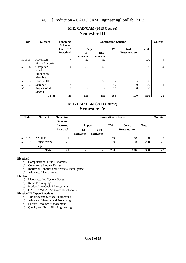| Code   | <b>Subject</b>         | <b>Teaching</b><br><b>Scheme</b> | <b>Examination Scheme</b> |                          |     |                              |              | <b>Credits</b> |
|--------|------------------------|----------------------------------|---------------------------|--------------------------|-----|------------------------------|--------------|----------------|
|        |                        | Lecture /                        | Paper                     |                          | TW  | Oral/                        | <b>Total</b> |                |
|        |                        | <b>Practical</b>                 | In-                       | End-                     |     | <b>Presentation</b>          |              |                |
|        |                        |                                  | <b>Semester</b>           | <b>Semester</b>          |     |                              |              |                |
| 511313 | Advanced               | 4                                | 50                        | 50                       |     |                              | 100          | 4              |
|        | <b>Stress Analysis</b> |                                  |                           |                          |     |                              |              |                |
| 511314 | Computer               | 4                                | 50                        | 50                       |     | -                            | 100          | 4              |
|        | aided                  |                                  |                           |                          |     |                              |              |                |
|        | Production             |                                  |                           |                          |     |                              |              |                |
|        | planning.              |                                  |                           |                          |     |                              |              |                |
| 511315 | Elective III           | 5                                | 50                        | 50                       | Ξ.  | $\qquad \qquad \blacksquare$ | 100          | 5              |
| 511316 | Seminar II             | 4                                |                           | $\overline{\phantom{a}}$ | 50  | 50                           | 100          | 4              |
| 511317 | Project Work           | 8                                |                           | $\overline{\phantom{0}}$ | 50  | 50                           | 100          | 8              |
|        | Stage I                |                                  |                           |                          |     |                              |              |                |
|        | <b>Total</b>           | 25                               | 150                       | 150                      | 100 | 100                          | 500          | 25             |

## **M.E. CAD/CAM (2013 Course) Semester III**

## **M.E. CAD/CAM (2013 Course) Semester IV**

| Code         | <b>Subject</b> | <b>Teaching</b><br><b>Scheme</b> | <b>Examination Scheme</b> |                 |            |                     |              | <b>Credits</b> |
|--------------|----------------|----------------------------------|---------------------------|-----------------|------------|---------------------|--------------|----------------|
|              |                | Lecture /                        | Paper                     |                 | TW         | Oral/               | <b>Total</b> |                |
|              |                | <b>Practical</b>                 | In-                       | End-            |            | <b>Presentation</b> |              |                |
|              |                |                                  | <b>Semester</b>           | <b>Semester</b> |            |                     |              |                |
| 511318       | Seminar III    |                                  | $\overline{\phantom{a}}$  |                 | 50         | 50                  | 100          |                |
| 511319       | Project Work   | 20                               | -                         |                 | 150        | 50                  | 200          | 20             |
|              | Stage II       |                                  |                           |                 |            |                     |              |                |
| <b>Total</b> |                | 25                               |                           |                 | <b>200</b> | 100                 | 300          | 25             |

#### **Elective I**

- a) Computational Fluid Dynamics
- b) Concurrent Product Design
- c) Industrial Robotics and Artificial Intelligence
- d) Advanced Mechatronics

#### **Elective II**

- a) Manufacturing System Design
- b) Rapid Prototyping
- $\overrightarrow{c}$  Product Life Cycle Management
- d) CAD/CAM/CAE Software Development

#### **Elective III (Open Elective)**

- a) Tribology and Surface Engineering
- b) Advanced Material and Processing
- c) Energy Resource Management
- d) Quality and Reliability Engineering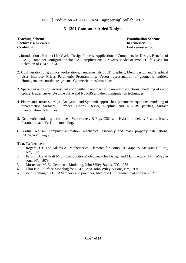### **511301 Computer Aided Design**

#### **Teaching Scheme Examination Scheme Lectures: 4 hrs/week In semester: 50 Credits: 4** End semester: 50

- 1. Introduction , Product Life Cycle, Design Process, Application of Computers for Design, Benefits of CAD, Computer configuration for CAD Applications, Grover's Model of Product life Cycle for Selection of CAD/CAM.
- 2. Configuration of graphics workstations, Fundamentals of 2D graphics, Menu design and Graphical User Interface (GUI), Parametric Programming, Vector representation of geometric entities, Homogeneous coordinate systems, Geometric transformations.
- 3. Space Curve design -Analytical and Synthetic approaches, parametric equations, modeling of cubic spline, Bezier curve, B-spline curve and NURBS and their manipulation techniques.
- 4. Planes and surfaces design -Analytical and Synthetic approaches, parametric equations, modeling of biparametric Surfaces, Surfaces- Coons, Bezier, B-spline and NURBS patches, Surface manipulation techniques.
- 5. Geometric modeling techniques- Wireframes, B-Rep, CSG and Hybrid modelers, Feature based, Parametric and Variation modeling.
- 6. Virtual realism, computer animation, mechanical assembly and mass property calculations, CAD/CAM integration,

#### **Text/ References:**

- 1. Rogers D. F. and Adams A., Mathematical Elements for Computer Graphics, McGraw Hill Inc, NY, 1989.
- 2. Faux I. D. and Pratt M. J., Computational Geometry for Design and Manufacture, John Wiley & sons, NY, 1979
- 3. Mortenson M. E., Geometric Modeling, John Wiley &sons, NY, 1985
- 4. Choi B.K., Surface Modeling for CAD/CAM, John Wiley & Sons, NY, 1991.
- 5. Zeid Ibrahim, CAD/CAM theory and practices, McGraw Hill international edition. 2009.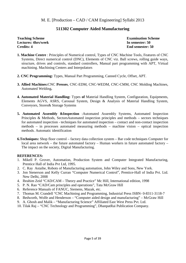### **511302 Computer Aided Manufacturing**

**Lectures: 4hrs/week In semester: 50 Credits: 4** End semester: 50

**Teaching Scheme Examination Scheme Examination Scheme** 

- **1. Machine Centre** : Principles of Numerical control, Types of CNC Machine Tools, Features of CNC Systems, Direct numerical control (DNC), Elements of CNC viz. Ball screws, rolling guide ways, structure, drives and controls, standard controllers, Manual part programming with APT, Virtual machining. Machining Centers and Interpolators
- **2. CNC Programming:** Types, Manual Part Programming, Canned Cycle, Offset, APT.
- **3. Allied Machines:**CNC **Presses**, CNC-EDM, CNC-WEDM, CNC-CMM, CNC Molding Machines, Automated Welding**.**
- **4. Automated Material Handling:** Types **of** Material Handling System, Configuration, Equipments, Elements AGVS, ASRS, Carousal System, Design & Analysis of Material Handling System, Conveyors, Stores& Storage Systems
- **5. Automated Assembly &Inspection** :Automated Assembly Systems, Automated Inspection Principles & Methods, SectorsAutomated inspection principles and methods – sectors techniques for automated inspection - techniques for automated inspection – contact and non-contact inspection methods – in processes automated measuring methods – machine vision – optical inspection methods. Automatic identification
- **6.Techniques:** Shop floor control factory data collection system Bar code techniques Computer for local area network – the future automated factory – Human workers in future automated factory – The impact on the society, Digital Manufacturing.

#### **REFERENCES:**

- 1. Mikell P. Grover, Automation, Production System and Computer Integrated Manufacturing, Prentice Hall of India Pvt Ltd, 1995.
- 2. C. Ray Astaihe, Robots of Manufacturing automation, John Wiley and Sons, New York.
- 3. Jon Stenerson and Kelly Curran "Computer Numerical Control", Prentice-Hall of India Pvt. Ltd. New Delhi, 2008
- 4. Ibrahim Zeid "CAD/CAM Theory and Practice" Mc Hill, International edition, 1998
- 5. P. N. Rao "CAD/Cam principles and operations", Tata McGraw Hill
- 6. Reference Manuals of FANUC, Siemens, Mazak, etc.
- 7. Thomas M. Crandell "CNC Machining and Programming, Industrial Press ISBN- 0-8311-3118-7
- 8. Bedworth, Wolfe and Henderson "Computer aided design and manufacturing" McGraw Hill
- 9. A. Ghosh and Malik "Manufacturing Science" Affiliated East West Press Pvt. Ltd.
- 10. Tilak Raj "CNC Technology and Programming", DhanpatRai Publication Company.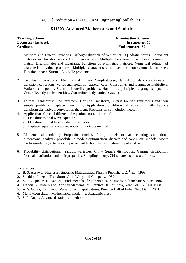## **511303 Advanced Mathematics and Statistics**

# **Credits: 4** End semester: 50

**Teaching Scheme Examination Scheme Examination Scheme Lectures: 4hrs/week In semester: 50** 

- 1. Matrices and Linear Equations :Orthogonalization of vector sets, Quadratic forms, Equivalent matrices and transformations. Hermitian matrices, Multiple characteristics number of symmetric matrix. Discriminates and invariants. Functions of symmetric matrices. Numerical solution of characteristic value problems. Multiple characteristic numbers of non-symmetric matrices. Functions space. Sturm – Liouville problems.
- 2. Calculas of variations : Maxima and minima, Simplest case, Natural boundary conditions and transition conditions, variational notation, general case, Constraints and Language multipliers, Variable end points, Sturm – Liouville problems, Hamilton's principle, Lagrange's equation. Generalized dynamical entities, Constraints in dynamical systems.
- 3. Fourier Transforms: Sine transform, Cousine Transform, Inverse Fourier Transforms and their simple problems. Laplace transforms. Application to differential equations with Laplace transform derivatives, convolution theorem. Problems on convolution theorem.
- 4. Application of partial differential equations for solutions of
	- 1. One dimensional wave equation
	- 2. One dimensional heat conduction equation
	- 3. Laplace equation with separation of variable method
- 5. Mathematical modeling- Proportion models, fitting models to data, creating simulations, dimensional analysis, probabilistic models optimization, discrete and continuous models, Monte Carlo simulation, efficiency improvement techniques, simulation output analysis.
- 6. Probability distributions: random variables, Chi Square distribution, Gamma distribution, Normal distribution and their properties. Sampling theory, Chi-square test, t-tests, F-tests.

#### **References:**

- 1. B. S. Agrawal, Higher Engineering Mathematics, Khanna Publishers,  $25<sup>th</sup>$  Ed., 1999.
- 2. Sneddon, Integral Transforms John Wiley and Company, 1987.
- 3. S. C. Gupta, V. K. Kapoor, Fundamentals of Mathematical Statistics, Sultanchand& Sons, 1987.
- 4. Francis B. Hilderbrand, Applied Mathematics, Prentice Hall of India, New Delhi, 2<sup>nd</sup> Ed. 1968.
- 5. A. S. Gupta, Calculus of Variation with applications, Prentice Hall of India, New Delhi, 2001.
- 6. Mark Meerschaert, Mathematical modeling, Academic press
- 7. S. P. Gupta, Advanced statistical method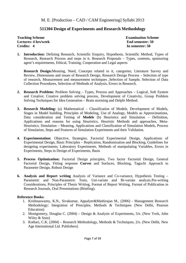## **511304 Design of Experiments and Research Methodology**

**Teaching Scheme** Examination Scheme **Lectures: 4 hrs/week End semester: 50 End semester: 50 End semester: 50 End semester: 50 End semester: 50 End semester: 50 End semester: 50 End semester: 50 End semester: 50 End semester: 50 End semester: 50 End semester: Credits: 4 In semester: 50** 

**1. Introduction:** Defining Research, Scientific Enquiry, Hypothesis, Scientific Method, Types of Research, Research Process and steps in it. Research Proposals – Types, contents, sponsoring agent's requirements, Ethical, Training, Cooperation and Legal aspects

**Research Design:**Meaning, Need, Concepts related to it, categories; Literature Survey and Review, Dimensions and issues of Research Design, Research Design Process – Selection of type of research, Measurement and measurement techniques ,Selection of Sample, Selection of Data Collection Procedures, Selection of Methods of Analysis, Errors in Research.

- **2. Research Problem:** Problem Solving Types, Process and Approaches Logical, Soft System and Creative; Creative problem solving process, Development of Creativity, Group Problem Solving Techniques for Idea Generation – Brain storming and Delphi Method.
- **3. Research Modeling:** (a) Mathematical Classification of Models, Development of Models, Stages in Model building, Principles of Modeling, Use of Analogy, Models as Approximations, Data consideration and Testing of **Models** (b) Heuristics and Simulation – Definition, Applications and reasons for using Heuristics, Heuristic Methods and approaches, Meta-Heuristics; Simulation – Meaning, Applications and Classification of Simulation Models, Process of Simulation, Steps and Features of Simulation Experiments and their Validation.
- **4. Experimentation:** Objective, Strategies, Factorial Experimental Design, Applications of Experimental Design, Basic Principles – Replication, Randomization and Blocking, Guidelines for designing experiments; Laboratory Experiments, Methods of manipulating Variables, Errors in Experiments, Steps in Design of Experiments, Basis
- **5. Process Optimization:** Factorial Design principles, Two factor Factorial Design, General Factorial Design, Fitting response **Curves** and Surfaces, Blocking, Taguchi Approach to Parameter Design, Robust Design
- **6. Analysis and Report writing** Analysis of Variance and Co-variance, Hypothesis Testing Parametric and Non-Parametric Tests, Uni-variate and Bi-variate analysis.Pre-writing Considerations, Principles of Thesis Writing, Format of Report Writing, Format of Publication in Research Journals, Oral Presentations (Briefing).

- 1. Krishnaswamy, K.N., Sivakumar, AppaIyer&Mathirajan M., (2006) Management Research Methodology: Integration of Principles, Methods & Techniques (New Delhi, Pearson Education)
- 2. Montgomery, Douglas C. (2004) Design & Analysis of Experiments, 5/e. (New York, John Wiley & Sons)
- 3. Kothari, C.K. (2004) Research Methodology, Methods & Techniques, 2/e. (New Delhi, New Age International Ltd. Publishers)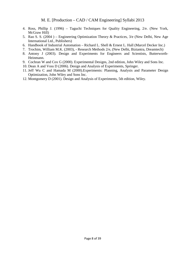- 4. Ross, Phillip J. (1996) Taguchi Techniques for Quality Engineering, 2/e. (New York, McGraw Hill)
- 5. Rao S. S. (2004 ) Engineering Optimization Theory & Practices, 3/e (New Delhi, New Age International Ltd., Publishers)
- 6. Handbook of Industrial Automation Richard L. Shell & Ernest L. Hall (Marcel Decker Inc.)
- 7. Trochim, William M.K. (2003), Research Methods 2/e, (New Delhi, Biztantra, Dreamtech)
- 8. Antony J (2003). Design and Experiments for Engineers and Scientists, Butterworth-Heinmann.
- 9. Cochran W and Cox G (2000). Experimental Designs, 2nd edition, John Wiley and Sons Inc.
- 10. Dean A and Voss D (2006). Design and Analysis of Experiments, Springer.
- 11. Jeff Wu C and Hamada M (2000).Experiments: Planning, Analysis and Parameter Design Optimization, John Wiley and Sons Inc.
- 12. Montgomery D (2001). Design and Analysis of Experiments, 5th edition, Wiley.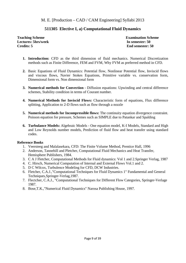## **511305 Elective I, a) Computational Fluid Dynamics**

**Teaching Scheme** Examination Scheme **Lectures: 5hrs/week In semester: 50 Credits: 5 End semester: 50** 

- **1. Introduction:** CFD as the third dimension of fluid mechanics. Numerical Discretization methods such as Finite Difference, FEM and FVM, Why FVM as preferred method in CFD.
- **2.** Basic Equations of Fluid Dynamics: Potential flow, Nonlinear Potential flow, Inviscid flows and viscous flows, Navier Stokes Equations, Primitive variable vs. conservation form, Dimensional form vs. Non dimensional form
- **3. Numerical methods for Convection** Diffusion equations: Upwinding and central difference schemes, Stability condition in terms of Courant number.
- **4. Numerical Methods for Inviscid Flows:** Characteristic form of equations, Flux difference splitting, Application to 2-D flows such as flow through a nozzle
- **5. Numerical methods for Incompressible flows:** The continuity equation divergence constraint. Poisson equation for pressure, Schemes such as SIMPLE due to Patankar and Spalding
- **6. Turbulance Models:** Algebraic Models One equation model, K-I Models, Standard and High and Low Reynolds number models, Prediction of fluid flow and heat transfer using standard codes.

- 1. Veersteeg and Malalasekara, CFD: The Finite Volume Method, Prentice Hall, 1996
- 2. Anderson, Tannehill and Pletcher, Computational Fluid Mechanics and Heat Transfer, Hemisphere Publishers, 1984.
- 3. C A J Fletcher, Computational Methods for Fluid dynamics: Vol 1 and 2.Springer Verlag, 1987
- 4. C. Hirsch, Numerical Computation of Internal and External Flows Vol.1 and 2.
- 5. D C Wilcox, Turbulence Modeling for CFD, DCW Industries.
- 6. Fletcher, C.A.J.,"Computational Techniques for Fluid Dynamics 1" Fundamental and General Techniques,Springer-Verlag,1987.
- 7. Flectcher, C.A.J., "Computational Techniques for Different Flow Categories, Springer-Verlage 1987.
- 8. Bose,T.K.,"Numerical Fluid Dynamics" Narosa Publishing House, 1997.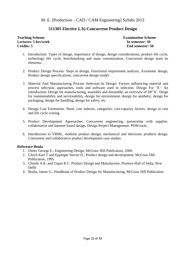## **511305 Elective I, b) Concurrent Product Design**

#### **Teaching Scheme Examination Scheme Lectures: 5 hrs/week In semester: 50 Credits: 5 End semester: 50**

- 1. Introduction: Types of design, importance of design, design considerations, product life cycle, technology life cycle, benchmarking and mass customization. Concurrent design team its elements.
- 2. Product Design Process: Steps in design, Functional requirement analysis, Axiomatic design, Product design specifications, concurrent design model
- 3. Material And Manufacturing Process Selection In Design: Factors influencing material and process selection, approaches, tools and software used in selection. Design For 'X': An introduction: Design for manufacturing, assembly and dissemble, an overview of DF'X'. Deign for maintainability and serviceability, design for environment, design for aesthetic, design for packaging, design for handling, design for safety, etc.
- 4. Design Cost Estimation: Need, cost indexes, categories; cost-capacity factors; design to cost and life cycle costing.
- 5. Product Development Approaches: Concurrent engineering, partnership with supplier, collaborative and Internet based design, Design Project Management: PDM tools.
- 6. Introduction to VRML, modular product design, mechanical and electronic products design. Concurrent and collaborative product development case studies

- 1. Dieter George E., Engineering Design, McGraw Hill Publication, 2000.
- 2. Ulrich Karl T and Eppinger Steven D., Product design and development, McGraw Hill Publication, 1995.
- 3. Chitale A.K. and Gupta R.C. Product Design and Manufacture, Prentice-Hall of India, New Delhi
- 4. Bralla, James G., Handbook of Product Design for Manufacturing, McGraw Hill Publication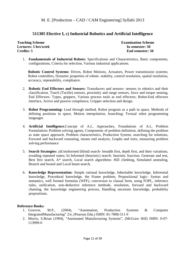## **511305 Elective I, c) Industrial Robotics and Artificial Intelligence**

**Teaching Scheme Examination Scheme Lectures: 5 hrs/week In semester: 50 Credits: 5 End semester: 50** 

1. **Fundamentals of Industrial Robots:** Specifications and Characteristics, Basic components, configurations, Criteria for selection, Various industrial applications.

**Robotic Control Systems:** Drives, Robot Motions, Actuators, Power transmission systems; Robot controllers, Dynamic properties of robots- stability, control resolution, spatial resolution, accuracy, repeatability, compliance.

- 2. **Robotic End Effectors and Sensors:** Transducers and sensors- sensors in robotics and their classification, Touch (Tactile) sensors, proximity and range sensors, force and torque sensing, End Effectors- Types, grippers, Various process tools as end effectors; Robot-End effectors interface, Active and passive compliance, Gripper selection and design.
- 3. **Robot Programming:** Lead through method, Robot program as a path in space, Methods of defining positions in space, Motion interpolation, branching; Textual robot programming languages
- 4. **Artificial Intelligence.**Concept of A.I., Approaches, Foundations of A.I., Problem Formulation**:** Problem solving agents, Components of problem definition, defining the problem as state space approach, Problem characteristics, Production System, searching for solutions, Forward and backward reasoning, means end analysis, Graphs and trees, measuring problem solving performance
- 5. **Search Strategies:** a)Uninformed (blind) search- breadth first, depth first, and their variations, avoiding repeated states; b) Informed (heuristic) search- heuristic function, Generate and test, Best first search, A\* search, Local search algorithms- Hill climbing, Simulated annealing, Branch and bound and Local beam search,
- 6. **Knowledge Representation:** Simple rational knowledge, Inheritable knowledge, Inferential knowledge, Procedural knowledge, the Frame problem, Propositional logic- Syntax and semantics, well formed formulas (WFF), conversion to clausal form, using FOPL, inference rules, unification, non-deductive inference methods, resolution, forward and backward chaining, the knowledge engineering process, Handling uncertain knowledge, probability propositions.

- 1. Groover, M.P., (2004), "Automation, Production Systems & Computer IntegratedManufacturing" 2/e, (Pearson Edu.) ISBN: 81-7808-511-9
- 2. Morris, S.Brian (1994), "Automated Manufacturing Systems", (McGraw Hill) ISBN: 0-07- 113999-0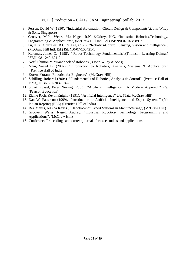- 3. Pessen, David W.(1990), "Industrial Automation, Circuit Design & Components",(John Wiley & Sons, Singapore)
- 4. Groover, M.P.; Weiss, M.; Nagel, R.N. &Odrey, N.G. "Industrial Robotics,Technology, Programming & Applications", (McGraw Hill Intl. Ed.) ISBN:0-07-024989-X
- 5. Fu, K.S.; Gonzalez, R.C. & Lee, C.S.G. "Robotics-Control, Sensing, Vision andIntelligence", (McGraw Hill Intl. Ed.) ISBN:0-07-100421-1
- 6. Keramas, James G. (1998), " Robot Technology Fundamentals",(Thomson Learning-Delmar) ISBN: 981-240-621-2
- 7. Noff, Shimon Y. "Handbook of Robotics", (John Wiley & Sons)
- 8. Niku, Saeed B. (2002), "Introduction to Robotics, Analysis, Systems & Applications" ,(Prentice Hall of India)
- 9. Koren, Yoram "Robotics for Engineers", (McGraw Hill)
- 10. Schilling, Robert J.(2004), "Fundamentals of Robotics, Analysis & Control", (Prentice Hall of India), ISBN: 81-203-1047-0
- 11. Stuart Russel, Peter Norwig (2003), "Artificial Intelligence : A Modern Approach" 2/e, (Pearson Education)
- 12. Elaine Rich, Kevin Knight, (1991), "Artificial Intelligence" 2/e, (Tata McGraw Hill)
- 13. Dan W. Patterson (1999), "Introduction to Artificial Intelligence and Expert Systems" (7th Indian Reprint) (EEE) (Prentice Hall of India)
- 14. Rex Mauss, Jessica Keyes , "Handbook of Expert Systems in Manufacturing", (McGraw Hill)
- 15. Groover, Weiss, Nagel, Audrey, "Industrial Robotics- Technology, Programming and Applications", (McGraw Hill)
- 16. Conference Proceedings and current journals for case studies and applications.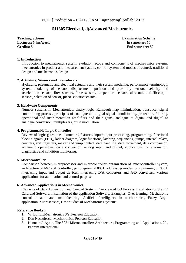## **511305 Elective I, d)Advanced Mechatronics**

**Teaching Scheme Examination Scheme Examination Scheme Examination Scheme Lectures: 5 hrs/week In semester: 50 Credits: 5 End semester: 50** 

#### **1. Introduction**

Introduction to mechatronics system, evolution, scope and components of mechatronics systems, mechatronics in product and measurement system, control system and modes of control, traditional design and mechatronics design

#### **2. Actuators, Sensors and Transducers**

Hydraulic, pneumatic and electrical actuators and their system modeling, performance terminology, system modeling of sensors; displacement, position and proximity sensors, velocity and acceleration sensors, flow sensors, force sensors, temperature sensors, ultrasonic and fibre-optic sensors, selection of sensor, piezo- electric sensors.

#### **3. Hardware Components**

Number systems in Mechatronics, binary logic, Karnaugh map minimization, transducer signal conditioning process, principals of analogue and digital signal conditioning, protection, filtering, operational and instrumentation amplifiers and their gains, analogue to digital and digital to analogue conversion, multiplexers, pulse modulation.

#### **4. Programmable Logic Controller**

Review of logic gates, basic structure, features, input/output processing, programming, functional block diagram (FBD), ladder diagram, logic functions, latching, sequencing, jumps, internal relays, counters, shift registers, master and jump control, data handling, data movement, data comparison, arithmetic operations, code conversion, analog input and output, applications for automation, diagnostics and condition monitoring.

#### **5. Microcontroller**

Comparison between microprocessor and microcontroller, organization of microcontroller system, architecture of MCS 51 controller, pin diagram of 8051, addressing modes, programming of 8051, interfacing input and output devices, interfacing D/A converters and A/D converters, Various applications for automation and control purpose.

#### **6. Advanced Applications in Mechatronics**

Elements of Data Acquisition and Control System, Overview of I/O Process, Installation of the I/O Card and Software, Installation of the application Software, Examples, Over framing. Mechatronic control in automated manufacturing, Artificial Intelligence in mechatronics, Fuzzy Logic application, Microsensors, Case studies of Mechatronics systems.

- 1. W. Bolton,Mechatronics 3/e ,Pearson Education
- 2. Dan Necsulescu, Mechatronics, Pearson Education
- 3. Kenneth J. Ayala, The 8051 Microcontroller: Architecture, Programming and Applications, 2/e, Penram International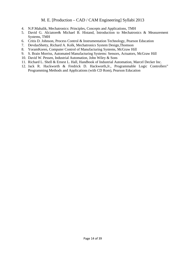- 4. N.P.Mahalik, Mechatronics: Principles, Concepts and Applications, TMH
- 5. David G. Alciatore& Michael B. Histand, Introduction to Mechatronics & Measurement Systems, TMH
- 6. Critis D. Johnson, Process Control & Instrumentation Technology, Pearson Education
- 7. DevdasShetty, Richard A. Kolk, Mechatronics System Design,Thomson
- 8. YoramKoren, Computer Control of Manufacturing Systems, McGraw Hill
- 9. S. Brain Morriss, Automated Manufacturing Systems: Sensors, Actuators, McGraw Hill
- 10. David W. Pessen, Industrial Automation, John Wiley & Sons
- 11. Richard L. Shell & Ernest L. Hall, Handbook of Industrial Automation, Marcel Decker Inc.
- 12. Jack R. Hackworth & Fredrick D. Hackworth,Jr., Programmable Logic Controllers" Programming Methods and Applications (with CD Rom), Pearson Education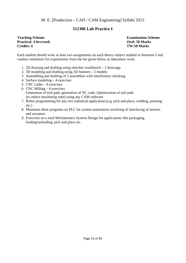## **511306 Lab Practice I**

#### **Teaching Scheme Examination Scheme Practical: 4 hrs/week Oral: 50 Marks Credits: 4 TW:50 Marks**

Each student should write at least two assignments on each theory subject studied in Semester I and conduct minimum Six experiments from the list given below as laboratory work.

- 1. 2D drawing and drafting using sketcher workbench 2 drawings
- 2. 3D modeling and drafting using 3D features 5 models
- 3. Assembling and drafting of 2 assemblies with interference checking.
- 4. Surface modeling 4 exercises
- 5. CNC Lathe 4 exercises
- 6. CNC Milling 4 exercises Generation of tool path, generation of NC code, Optimization of tool path (to reduce machining time) using any CAM software
- 7. Robot programming for any two industrial application.(e.g. pick and place, welding, painting etc.)
- 8. Minimum three programs on PLC for system automation involving of interfacing of sensors and actuators
- 9. Exercises on a total Mechatronics System Design for applications like packaging, loading/unloading, pick and place etc.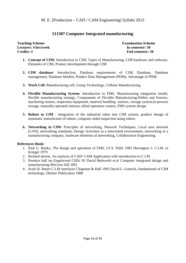## **511307 Computer Integrated manufacturing**

**Teaching Scheme Examination Scheme Lectures: 4 hrs/week In semester: 50 Credits: 4** End semester: 50

- **1. Concept of CIM:** Introduction to CIM, Types of Manufacturing, CIM hardware and software, Elements of CIM, Product development through CIM
- **2. CIM database**: Introduction, Database requirements of CIM, Database, Database management, Database Models, Product Data Management (PDM), Advantage of PDM.
- **3. Work Cell :**Manufacturing cell, Group Technology, Cellular Manufacturing.
- **4. Flexible Manufacturing System:** Introduction to FMS, Manufacturing integration model, flexible manufacturing strategy, Components of Flexible Manufacturing**-**Pallets and fixtures, machining centers, inspection equipment, material handling stations, storage system,In-process storage, manually operated stations, allied operation centers, FMS system design
- **5. Robots in CIM** : integration of the industrial robot into CIM system, product design of automatic manufacture of robots, computer aided inspection using robots.
- **6. Networking in CIM:** Principles of networking, Network Techniques, Local area network (LAN), networking standards, Design Activities in a networked environment, networking in a manufacturing company, hardware elements of networking, Collaboration Engineering.

- 1. Paul G. Ranky, The design and operation of FMS, I.F.S. Publi 1983 Harrington J, C.I.M. m Krieger 1979
- 2. Richard shover, An analysis of CAD/ CAM Application with introduction to C.I.M.
- 3. Prentice hall inc.Engelwood Cliffs NJ David Bedworth et.al Computer integrated design and manufacturing McGraw hill 1991
- 4. Scolz B. Reiter C.I.M interfaces Chapman & Hall 1992 David L. Goetsch, fundamental of CIM technology, Delmer Publication 1988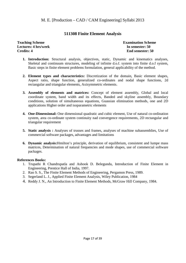## **511308 Finite Element Analysis**

**Teaching Scheme Examination Scheme Lectures: 4 hrs/week In semester: 50 Credits: 4 End semester: 50** 

- **1. Introduction:** Structural analysis, objectives, static, Dynamic and kinematics analyses, Skeletal and continuum structures, modeling of infinite d.o.f. system into finite d.o.f system, Basic steps in finite element problems formulation, general applicability of the method.
- **2. Element types and characteristics:** Discretization of the domain, Basic element shapes, Aspect ratio, shape function, generalized co-ordinates and nodal shape functions, 2d rectangular and triangular elements, Axisymmetric elements.
- **3. Assembly of elements and matrices:** Concept of element assembly, Global and local coordinate system, band width and its effects, Banded and skyline assembly, Boundary conditions, solution of simultaneous equations, Guassian elimination methods, one and 2D applications Higher order and isoparametric elements
- **4. One-Dimensional:** One dimensional quadratic and cubic element, Use of natural co-ordination system, area co-ordinate system continuity nad convergence requirements, 2D rectangular and triangular requirement
- **5. Static analysis :** Analyses of trusses and frames, analyses of machine subassemblies, Use of commercial software packages, advantages and limitations
- **6. Dynamic analysis:**Hmilton's principle, derivation of equilibrium, consistent and lumpe mass matrices, Determination of natural frequencies and mode shapes, use of commercial software packages.

- 1. Trupathi R Chandrupatla and Ashook D. Belegundu, Introduction of Finite Element in Engineering, Prentice Hall of India, 1997.
- 2. Rao S. S., The Finite Element Methods of Engineering, Pergamon Press, 1989.
- 3. Segerland L. J., Applied Finite Element Analysis, Wiley Publication, 1984
- 4. Reddy J. N., An Introduction to Finite Element Methods, McGraw Hill Company, 1984.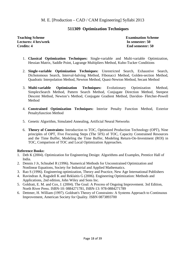## **511309 Optimization Techniques**

#### **Teaching Scheme** Examination Scheme **Lectures: 4 hrs/week In semester: 50 Credits: 4** End semester: 50

- 1. **Classical Optimization Techniques:** Single-variable and Multi-variable Optimization, Hessian Matrix, Saddle Point, Lagrange Multipliers Method, Kuhn-Tucker Conditions
- 2. **Single-variable Optimization Techniques:** Unrestricted Search, Exhaustive Search, Dichotomous Search, Interval-halving Method, Fibonacci Method, Golden-section Method, Quadratic Interpolation Method, Newton Method, Quasi-Newton Method, Secant Method
- 3. **Multi-variable Optimization Techniques:** Evolutionary Optimization Method, SimplexSearch Method, Pattern Search Method, Conjugate Direction Method, Steepest Descent Method, Newton's Method, Conjugate Gradient Method, Davidon- Fletcher-Powell Method
- 4. **Constrained Optimization Techniques:** Interior Penalty Function Method, Exterior Penaltyfunction Method
- 5. Genetic Algorithm, Simulated Annealing, Artificial Neural Networks
- 6. **Theory of Constraints:** Introduction to TOC, Optimized Production Technology (OPT), Nine principles of OPT, Five Focusing Steps (The 5FS) of TOC, Capacity Constrained Resources and the Time Buffer, Modeling the Time Buffer, Modeling Return-On-Investment (ROI) in TOC, Comparison of TOC and Local Optimization Approaches.

- 1. Deb K (2004). Optimization for Engineering Design: Algorithms and Examples, Prentice Hall of India.
- 2. Dennis J Jr, Schnabel R (1996). Numerical Methods for Unconstrained Optimization and Nonlinear Equations, Society for Industrial and Applied Mathematics.
- 3. Rao S (1996). Engineering optimization, Theory and Practice, New Age International Publishers
- 4. Ravindran A, Ragsdell K and Reklaitis G (2006). Engineering Optimization: Methods and Applications, 2nd edition, John Wiley and Sons Inc.
- 5. Goldratt, E. M. and Cox, J. (2004). The Goal: A Process of Ongoing Improvement. 3rd Edition, North River Press. ISBN-10: 0884271781, ISBN-13: 978-0884271789
- 6. Dettmer, H. William (1997). Goldratt's Theory of Constraints: A Systems Approach to Continuous Improvement, American Society for Quality. ISBN 0873893700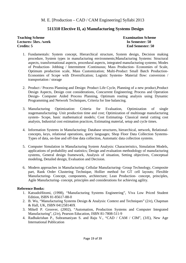## **511310 Elective II, a) Manufacturing Systems Design**

#### **Teaching Scheme Examination Scheme Lectures: 5hrs. /week In Semester: 50 Credits: 5 End Semester: 50**

- 1. Fundamentals: System concept, Hierarchical structure, System design, Decision making procedure, System types in manufacturing environments;Manufacturing Systems: Structural aspects, transformational aspects, procedural aspects, integrated manufacturing systems; Modes of Production- Jobbing / Intermittent /Continuous; Mass Production- Economies of Scale, Optimum production scale, Mass Customization; Multi-Product Small Batch Production-Economies of Scope with Diversification; Logistic Systems- Material flow: conversion / transportation / storage
- 2. Product / Process Planning and Design: Product Life Cycle, Planning of a new product,Product Design Aspects, Design cost considerations, Concurrent Engineering; Process and Operation Design- Computer Aided Process Planning, Optimum routing analysis using Dynamic Programming and Network Techniques, Criteria for line balancing.
- 3. Manufacturing Optimization: Criteria for Evaluation, Optimization of single stagemanufacturing- Unit production time and cost; Optimization of multistage manufacturing system- Scope, basic mathematical models; Cost Estimating- Classical metal cutting cost analysis, Industrial cost estimation practices, Estimating material, setup and cycle times.
- 4. Information Systems in Manufacturing: Database structures, hierarchical, network, Relationalconcepts, keys, relational operations, query languages; Shop Floor Data Collection Systems-Types of data, on-line and off-line data collection, Automatic data collection systems.
- 5. Computer Simulation in Manufacturing System Analysis: Characteristics, Simulation Models, applications of probability and statistics; Design and evaluation methodology of manufacturing systems, General design framework, Analysis of situation, Setting objectives, Conceptual modeling, Detailed design, Evaluation and Decision.
- 6. Modern approaches in Manufacturing: Cellular Manufacturing- Group Technology, Composite part, Rank Order Clustering Technique, Hollier method for GT cell layouts; Flexible Manufacturing- Concept, components, architecture; Lean Production- concept, principles, Agile Manufacturing- concept, principles and considerations for achieving agility.

- 1. KatsudoHitomi, (1998), "Manufacturing Systems Engineering", Viva Low Priced Student Edition, ISBN 81-85617-88-0
- 2. B. Wu, "Manufacturing Systems Design & Analysis: Context and Techniques" (2/e), Chapman & Hall, UK, ISBN 041258140X
- 3. Mikell P. Groover, (2002), "Automation, Production Systems and Computer Integrated Manufacturing", (2/e), Pearson Education, ISBN 81-7808-511-9
- 4. Radhakrishan P., Subramaniyan S. and Raju V., "CAD / CAM / CIM", (3/E), New Age International Publication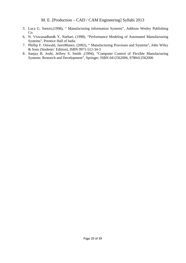- 5. Luca G. Sartori,(1998), " Manufacturing Information Systems", Addison Wesley Publishing Co.
- 6. N. Viswanadhan& Y, Narhari, (1998), "Performance Modeling of Automated Manufacturing Systems", Prentice Hall of India
- 7. Phillip F. Ostwald, JairoMunez, (2002), " Manufacturing Processes and Systems", John Wiley & Sons (Students' Edition), ISBN 9971-512-34-3
- 8. Sanjay B. Joshi, Jeffrey S. Smith ,(1994), "Computer Control of Flexible Manufacturing Systems: Research and Development", Springer, ISBN 0412562006, 9780412562006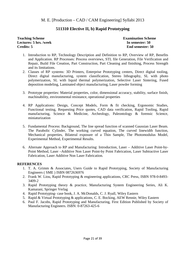## **511310 Elective II, b) Rapid Prototyping**

#### **Teaching Scheme Examination Scheme Examination Scheme Lectures: 5 hrs. /week In semester: 50 Credits: 5 End semester: 50**

- 1. Introduction to RP, Technology Description and Definition to RP, Overview of RP, Benefits and Application. RP Processes: Process overviews, STL file Generation, File Verification and Repair, Build File Creation, Part Construction, Part Cleaning and finishing, Process Strength and its limitations.
- 2. Classes of RP systems: 3D Printers, Enterprise Prototyping centers, Direct digital tooling, Direct digital manufacturing, system classification, Stereo lithography, SL with photo polymerization, SL with liquid thermal polymerization, Selective Laser Sintering, Fused deposition modeling, Laminated object manufacturing, Laser powder forming
- 3. Prototype properties: Material properties, color, dimensional accuracy, stability, surface finish, machinability, environmental resistance, operational properties
- 4. RP Applications: Design, Concept Models, Form & fit checking, Ergonomic Studies, Functional testing, Requesting Price quotes, CAD data verification, Rapid Tooling, Rapid manufacturing, Science & Medicine, Archeology, Paleontology & forensic Science, miniaturization
- 5. Fundamental Process: Background, The line spread function of scanned Gaussian Laser Beam. The Parabolic Cylinder, The working curved equation, The curved linewidth function, Mechanical properties, Bilateral exposure of a Thin Sample, The Photomodulus Model, Experimental Method, Experimental Results.
- 6. Alternate Approach to RP and Manufacturing: Introduction, Laser Additive Laser Point-by-Point Method, Laser –Additive Non Laser Point-by Point Fabrication, Laser Subtractive Laser Fabrication, Laser Additive Non Laser Fabrication.

#### **REFERENCES**

- 1. T. A. Grimm & Associates, Users Guide to Rapid Prototyping, Society of Manufacturing Engineers ( SME ) ISBN 0872636976
- 2. Frank W. Liou, Rapid Prototyping & engineering applications, CRC Press, ISBN 978-0-8493- 3409-2
- 3. Rapid Prototyping theory & practice, Manufacturing System Engineering Series, Ali K. Kamarani, Springer Verlag
- 4. Rapid Prototyping- case book, J. A. McDonalds, C. J. Ryall, Wiley Eastern
- 5. Rapid & Virtual Prototyping & applications, C. E. Bocking, AEW Rennie, Wiley Eastern
- 6. Paul F. Jacobs, Rapid Prototyping and Manufacturing, First Edition Published by Society of Manufacturing Engineers. ISBN: 0-87263-425-6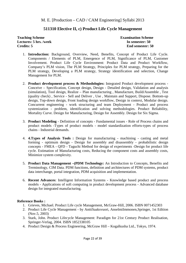## **511310 Elective II, c) Product Life Cycle Management**

**Teaching Scheme Examination Scheme Lectures: 5 hrs. /week In semester: 50 Credits: 5 End semester: 50** 

- 1. **Introduction:** Background, Overview, Need, Benefits, Concept of Product Life Cycle. Components / Elements of PLM, Emergence of PLM, Significance of PLM, Customer Involvement. Product Life Cycle Environment: Product Data and Product Workflow, Company's PLM vision, The PLM Strategy, Principles for PLM strategy, Preparing for the PLM strategy, Developing a PLM strategy, Strategy identification and selection, Change Management for PLM.
- 2. **Product development process & Methodologies:** Integrated Product development process Conceive – Specification, Concept design, Design - Detailed design, Validation and analysis (simulation), Tool design, Realize – Plan manufacturing , Manufacture, Build/Assemble , Test (quality check) , Service - Sell and Deliver , Use , Maintain and Support, Dispose. Bottom-up design, Top-down design, Front loading design workflow, Design in context, Modular design. Concurrent engineering - work structuring and team Deployment - Product and process systemization - problem, identification and solving methodologies. Product Reliability, Mortality Curve. Design for Manufacturing, Design for Assembly. Design for Six Sigma.
- 3. **Product Modeling** Definition of concepts Fundamental issues Role of Process chains and product models -Types of product models - model standardization efforts-types of process chains - Industrial demands.
- 4. **4.Types of Analysis Tools :** Design for manufacturing machining casting and metal forming - optimum design - Design for assembly and disassembly - probabilistic design concepts - FMEA - QFD - Taguchi Method for design of experiments -Design for product life cycle. Estimation of Manufacturing costs, Reducing the component costs and assembly costs, Minimize system complexity.
- 5. **Product Data Management –(PDM Technology:** An Introduction to Concepts, Benefits and Terminology, CIM Data. PDM functions, definition and architectures of PDM systems, product data interchange, portal integration, PDM acquisition and implementation.
- 6. **Recent Advances**: Intelligent Information Systems Knowledge based product and process models - Applications of soft computing in product development process - Advanced database design for integrated manufacturing.

- 1. Grieves, Michael. Product Life cycle Management, McGraw-Hill, 2006. ISBN 0071452303
- 2. Product Life Cycle Management by AnttiSaaksvuori, AnselmiImmonen,Springer, 1st Edition (Nov.5, 2003)
- 3. Stark, John. Product Lifecycle Management: Paradigm for 21st Century Product Realisation, Springer-Verlag, 2004. ISBN 1852338105
- 4. Product Design & Process Engineering, McGraw Hill Kogalkusha Ltd., Tokyo, 1974.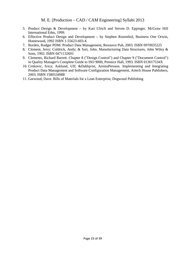- 5. Product Design & Development by Kari Ulrich and Steven D. Eppinger, McGraw Hill International Edns, 1999.
- 6. Effective Product Design and Development by Stephen Rosenthol, Business One Orwin, Homewood, 1992 ISBN 1-55623-603-4.
- 7. Burden, Rodger PDM: Product Data Management, Resource Pub, 2003. ISBN 0970035225
- 8. Clement, Jerry; Coldrick, Andy; & Sari, John. Manufacturing Data Structures, John Wiley & Sons, 1992. ISBN 0471132691
- 9. Clements, Richard Barrett. Chapter 8 ("Design Control") and Chapter 9 ("Document Control") in Quality Manager's Complete Guide to ISO 9000, Prentice Hall, 1993. ISBN 013017534X
- 10. Crnkovic, Ivica; Asklund, Ulf; &Dahlqvist, AnnitaPersson. Implementing and Integrating Product Data Management and Software Configuration Management, Artech House Publishers, 2003. ISBN 1580534988
- 11. Garwood, Dave. Bills of Materials for a Lean Enterprise, Dogwood Publishing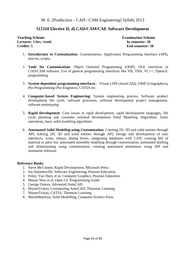## **511310 Elective II, d) CAD/CAM/CAE Software Development**

**Teaching Scheme Examination Scheme Lectures: 5 hrs. /week In semester: 50 Credits: 5 End semester: 50** 

- 1. **Introduction to Customization:** Customization, Application Programming Interface (API), macros, scripts.
- 2. **Tools for Customization:** Object Oriented Programming (OOP), OLE interfaces in CAD/CAM software, Use of general programming interfaces like VB, VBS, VC++, OpenGL programming
- 3. **System dependent programming interfaces** : Visual LISP (AutoCAD), GRIP (Unigraphics), Pro-Programming (Pro-Engineer), CATIA etc.
- 4. **Computer-based System Engineering:** System engineering process, Software product development life cycle, software processes, software development project management, software prototyping
- 5. **Rapid Development**: Core issues in rapid development, rapid development languages, life cycle planning and customer oriented development Solid Modeling Algorithms: Euler operations, basic solid modeling algorithms
- 6. **Automated Solid Modeling using Customization**: Creating 2D, 3D and solid entities through API, Editing 2D, 3D and solid entities through API, Design and development of user interfaces- icons, menus, dialog boxes, integrating databases with CAD, creating bill of material or parts list, automated assembly modeling through customization, automated drafting and dimensioning using customization, creating automated animations using API and animation software.

- 1. Steve McConnel, Rapid Development, Microsoft Press
- 2. Ian Sommerville, Software Engineering, Pearson Education
- 3. Foley, Van Dam, et al, Computer Graphics, Pearson Education
- 4. Mason Woo et al, Open GL Programming Guide
- 5. George Omura, Advanced AutoCAD
- 6. ShyamTickoo, Customizing AutoCAD, Thomson Learning
- 7. ShyamTickoo, CATIA, Thomson Learning
- 8. MarttiMantilya, Solid Modelling, Computer Science Press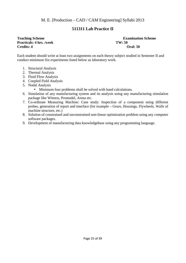## **511311 Lab Practice II**

## **Practicals: 4 hrs. /week TW: 50 Credits: 4** Oral: 50

# **Teaching Scheme Examination Scheme Examination Scheme**

Each student should write at least two assignments on each theory subject studied in Semester II and conduct minimum Six experiments listed below as laboratory work.

- 1. Structural Analysis
- 2. Thermal Analysis
- 3. Fluid Flow Analysis
- 4. Coupled Field Analysis
- 5. Nodal Analysis
	- Minimum four problems shall be solved with hand calculations.
- 6. Simulation of any manufacturing system and its analysis using any manufacturing simulation package like Witness, Promodel, Arena etc.
- 7. Co-ordinate Measuring Machine: Case study: Inspection of a component using different probes, generation of report and interface (for example – Gears, Housings, Flywheels, Walls of machine structure, etc.)
- 8. Solution of constrained and unconstrained non-linear optimization problem using any computer software packages.
- 9. Development of manufacturing data knowledgebase using any programming language.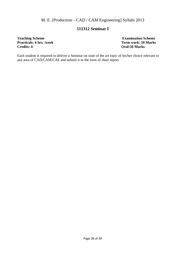## **511312 Seminar I**

## **Teaching Scheme** <br>**Examination Scheme Practicals: 4 hrs. /week Term work: 50 Marks Credits: 4 hrs. /week Term work: 50 Marks 20 Marks 20 Marks 20 Marks 20 Marks 20 Marks 20 Marks 20 Marks 20 Marks 20 Marks 20 Marks 20 Marks 20 Marks 20 Marks 20 Marks 20 Marks**

**Credits: 4 Oral:50 Marks** 

Each student is required to deliver a Seminar on state of the art topic of his/her choice relevant to any area of CAD/CAM/CAE and submit it in the form of short report.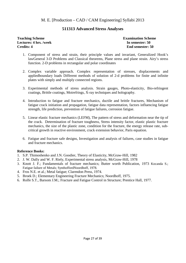## **511313 Advanced Stress Analyses**

#### **Teaching Scheme Examination Scheme Examination Scheme Lectures: 4 hrs. /week In semester: 50 Credits: 4** End semester: 50

- 1. Component of stress and strain, their principle values and invariant, Generalized Hook's lawGeneral 3-D Problems and Classical theorems, Plane stress and plane strain. Airy's stress function. 2-D problems in rectangular and polar coordinates
- 2. Complex variable approach. Complex representation of stresses, displacements and appliedboundary loads Different methods of solution of 2-d problems for finite and infinite plates with simply and multiply connected regions.
- 3. Experimental methods of stress analysis. Strain gauges, Photo-elasticity, Bio-refringent coatings, Brittle coatings, Moirefrings, X-ray techniques and holography.
- 4. Introduction to fatigue and fracture mechanics, ductile and brittle fractures, Mechanism of fatigue crack initiation and propagation, fatigue data representation, factors influencing fatigue strength, life prediction, prevention of fatigue failures, corrosion fatigue.
- 5. Linear elastic fracture mechanics (LEFM), The pattern of stress and deformation near the tip of the crack. Determination of fracture toughness, Stress intensity factor, elastic plastic fracture mechanics, the size of the plastic zone, condition for the fracture, the energy release rate, subcritical growth in reactive environment, crack extension behavior, Paris equation.
- 6. Fatigue and fracture safe designs, Investigation and analysis of failures, case studies in fatigue and fracture mechanics.

- 1. S.P. Thimoshenko and J.N. Goodier, Theory of Elasticity, McGraw-Hill, 1982
- 2. J. W. Dally and W. F. Riely, Experimental stress analysis, McGraw-Hill, 1978
- 3. Knott J. F.; Fundamentals of fracture mechanics; Butter worth Publication, 1973 Kocanda S.; Fatigue failure of Metals; SynthoffordNoordhoff, 1978.
- 4. Fros N.E. et al.; Metal fatigue; Clarendon Press, 1974.
- 5. Broek D.; Elementary Engineering Fracture Mechanics; Noordhoff, 1975.
- 6. Rolfe S.T., Barsom J.M.; Fracture and Fatigue Control in Structure; Prentice Hall, 1977.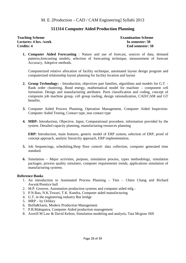## **511314 Computer Aided Production Planning**

**Teaching Scheme Examination Scheme Lectures: 4 hrs. /week In semester: 50 Credits: 4** End semester: 50

**1. Computer Aided Forecasting** : Nature and use of forecast, sources of data, demand patterns,forecasting models, selection of forecasting technique, measurement of forecast Accuracy, Adoptive methods.

Computerized relative allocation of facility technique, automated layout design program and computerized relationship layout planning for facility location and layout

- **2. Group Technology:** Introduction, objectives part families, algorithms and models for G.T. Rank order clustering, Bond energy, mathematical model for machine – component cell formation. Design and manufacturing attributes. Parts classification and coding, concept of composite job machine group, cell group tooling, design rationalization, CAD/CAM and GT benefits.
- **3.** Computer Aided Process Planning, Operation Management, Computer Aided Inspection-Computer Aided Testing, Contact type, non contact type
- **4. MRP:** Introduction, Objective, Input, Computational procedure, information provided by the system. Detailed capacity planning, manufacturing resources planning

**ERP:** Introduction, main features, generic model of ERP system, selection of ERP, proof of concept approach, analytic hierarchy approach, ERP implementation.

- **5.** Job Sequencings, scheduling,Shop floor control- data collection, computer generated time standard.
- **6.** Simulation Major activities, purpose, simulation process, types methodology, simulation packages, process quality simulator, computer requirements trends, applications simulation of manufacturing systems.

- 1. An introduction to Automated Process Planning Tien Chien Chang and Richard Awysk/Prentice hall
- 2. M.P. Groover, Automation production systems and computer aided mfg.-
- 3. P.N.Rao, N.K.Tewari, T.K. Kundra, Computer aided manufacturing
- 4. G.T. in the engineering industry Bur bridge
- 5. MRP by Orlikey
- 6. Buffa&Sarin, Modern Production Management
- 7. P.B.Mahapatra, Computer Aided production management
- 8. Averill M Law & David Kelton, Simulation modeling and analysis, Tata Mcgraw Hill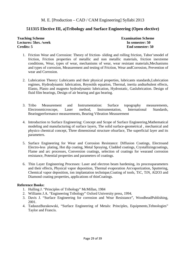## **511315 Elective III, a)Tribology and Surface Engineering (Open elective)**

**Teaching Scheme**  Teaching Scheme **Examination** Scheme **Lectures: 5hrs. /week In semester: 50 Credits: 5 End semester: 50** 

- 1. Friction Wear and Corrosion: Theory of friction- sliding and rolling friction, Tabor'smodel of friction, Friction properties of metallic and non metallic materials, friction inextreme conditions, Wear, types of wear, mechanisms of wear, wear resistant materials,Mechanisms and types of corrosion, Measurement and testing of Friction, Wear andCorrosion, Prevention of wear and Corrosion.
- 2. Lubrication Theory: Lubricants and their physical properties, lubricants standards,Lubrication regimes, Hydrodynamic lubrication, Reynolds equation, Thermal, inertia andturbulent effects, Elasto, Plasto and magneto hydrodynamic lubrication, Hydrostatic, Gaslubrication. Design of fluid film bearings, Design of air bearing and gas bearing.
- 3. Tribo Measurement and Instrumentation: Surface topography measurements, Electronmicroscope, Laser method, Instrumentation, International Standards, Bearingperformance measurements, Bearing Vibration Measurement
- 4. Introduction to Surface Engineering: Concept and Scope of Surface Engineering,Mathematical modeling and manufacturing of surface layers, The solid surface-geometrical , mechanical and physico chemical concept, Three dimensional structure ofsurface, The superficial layer and its parameters.
- 5. Surface Engineering for Wear and Corrosion Resistance: Diffusion Coatings, Electroand Electro-less plating, Hot dip coating, Metal Spraying, Cladded coatings, Crystallizingcoatings, Flame and arc processes, Conversion coatings, selection of coatings for wearand corrosion resistance, Potential properties and parameters of coatings.
- 6. Thin Layer Engineering Processes: Laser and electron beam hardening, its processparameters and their effects, Physical vapor deposition, Thermal evaporation Arcvaporization, Sputtering, Chemical vapor deposition, ion implantation technique,Coating of tools, TiC, TiN, Al2O3 and Diamond coating properties, applications of thinCoatings.

- 1. Hulling J. "Principles of Tribology" McMillan, 1984
- 2. Williams J.A. "Engineering Tribology" Oxford University press, 1994.
- 3. Davis J. "Surface Engineering for corrosion and Wear Resistance", WoodheadPublishing, 2001.
- 4. TadauszBurakowski, "Surface Engineering of Metals: Principles, Equipments,Tehnologies" Taylor and Francis.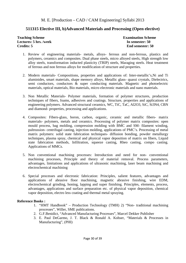## **511315 Elective III, b)Advanced Materials and Processing (Open elective)**

**Teaching Scheme Examination Scheme Lectures: 5 hrs. /week In semester: 50 Credits: 5 End semester: 50** 

- 1. Review of engineering materials- metals, alloys- ferrous and non-ferrous, plastics and polymers, ceramics and composites. Dual phase steels, micro alloyed steels, High strength low alloy steels, transformation inducted plasticity (TRIP) steels, Maraging steels. Heat treatment of ferrous and non ferrous alloys for modification of structure and properties.
- 2. Modern materials- Compositions, properties and applications of: Inter-metallic's,Ni and Ti aluminides, smart materials, shape memory alloys, Metallic glass- quassi crystals, Dielectrics, semi conductors, conductors & super conducting materials. Magnetic and photoelectric materials, optical materials, Bio materials, micro electronic materials and nano materials.
- 3. Non Metallic Materials- Polymer materials, formation of polymer structures, production techniques of fibers, foams, adhesives and coatings. Structure, properties and applications of engineering polymers. Advanced structural ceramics, WC, TiC, TaC, Al2O3, SiC, Si3N4, CBN and diamond- properties, processing and applications.
- 4. Composites: Fibers-glass, boron, carbon, organic, ceramic and metallic fibers- matrix materials- polymers, metals and ceramics. Processing of polymer matrix composites: open mould process, bag molding, compression molding with BMC and SM- filament winding, pultrussion- centrifugal casting, injection molding, applications of PMC's. Processing of metal matrix polymers: solid state fabrication techniques- diffusion bonding, powder metallurgy techniques, plasma spray, chemical and physical vapor deposition of matrix on fibers, Liquid state fabrication methods, Infiltration, squeeze casting, Rheo casting, compo casting. Applications of MMCs.
- 5. Non conventional machining processes: Introduction and need for non- conventional machining processes, Principle and theory of material removal. Process parameters, advantages, limitations and applications of ultrasonic machining, laser beam machining and electrochemical machining
- 6. Special processes and electronic fabrication: Principles, salient features, advantages and applications of abrasive floor machining, magnetic abrasive finishing, wire EDM, electrochemical grinding, honing, lapping and super finishing. Principles, elements, process, advantages, applications and surface preparation etc. of physical vapor deposition, chemical vapor deposition, electro less coating and thermal metal spraying.

- 1. "HMT Handbook" Production Technology (TMH) 2) "Non- traditional machining processes", Willer, SME publications.
- 2. G.F.Benidict, "Advanced Manufacturing Processes", Marcel Dekker Publisher
- 3. E. Paul DeGarmo, J. T. Black & Ronald A. Kohser, "Materials & Processes in Manufacturing", (PHI)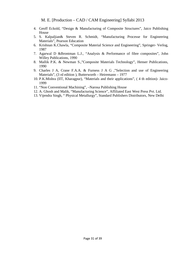- 4. Geoff Eckold, "Design & Manufacturing of Composite Structures", Jaico Publishing House
- 5. S. Kalpaljian& Steven R. Schmidt, "Manufacturing Processe for Engineering Materials", Pearson Education
- 6. Krishnan K.Chawla, "Composite Material Science and Engineering", Springer- Verlog, 1987
- 7. Agarwal D &Brontman L.J., "Analysis & Performance of fibre composites", John Willey Publications, 1990
- 8. Mallik P.K. & Newman S.,"Composite Materials Technology", Henser Publications, 1990
- 9. Charles J A, Crane F.A.A. & Furness J A G ,"Selection and use of Engineering Materials", (3 rd edition ), Butterworth – Heiremann – 1977
- 10. P.K.Mishra (IIT, Kharagpur), "Materials and their applications", ( 4 th edition)- Jaico-1999
- 11. "Non Conventional Machining", –Narosa Publishing House
- 12. A. Ghosh and Malik, "Manufacturing Science", Affiliated East West Press Pvt. Ltd.
- 13. Vijendra Singh, " Physical Metallurgy", Standard Publishers Distributors, New Delhi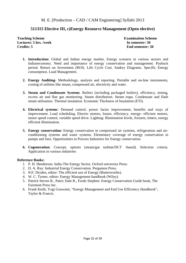## **511315 Elective III, c)Energy Resource Management (Open elective)**

**Teaching Scheme Examination Scheme Lectures: 5 hrs. /week In semester: 50 Credits: 5 End semester: 50** 

- **1. Introduction:** Global and Indian energy market, Energy scenario in various sectors and Indianeconomy. Need and importance of energy conservation and management. Payback period. Return on Investment (ROI). Life Cycle Cost. Sankey Diagrams. Specific Energy consumption. Load Management.
- **2. Energy Auditing** Methodology, analysis and reporting. Portable and on-line instruments, costing of utilities like steam, compressed air, electricity and water.
- **3. Steam and Condensate Systems**. Boilers (including packaged boilers), efficiency, testing, excess air and flue gas monitoring. Steam distribution. Steam traps. Condensate and flash steam utilization. Thermal insulation. Economic Thickness of Insulation (ETI).
- **4. Electrical systems**: Demand control, power factor improvement, benefits and ways of improvement. Load scheduling. Electric motors, losses, efficiency, energy- efficient motors, motor speed control, variable speed drive. Lighting: Illumination levels, fixtures, timers, energy efficient illumination.
- **5. Energy conservation:** Energy conservation in compressed air systems, refrigeration and airconditioning systems and water systems. Elementary coverage of energy conservation in pumps and fans. Opportunities in Process Industries for Energy conservation.
- **6. Cogeneration:** Concept, options (steam/gas turbine/DCT -based). Selection criteria. Application in various industries

- 1. P. H. Henderson: India-The Energy Sector, Oxford university Press.
- 2. D. A. Ray: Industrial Energy Conservation. Pergamon Press.
- 3. IGC Dryden, editor: The efficient use of Energy (Butterworths).
- 4. W. C. Turner, editor: Energy Management handbook (Wiley).
- 5. Patrick Steven R., Patric Dale R., Fordo Stephen: Energy Conservation Guide book, The Fairmont Press Inc.
- 6. Frank Keith, Yogi Goswami, "Energy Management and End Use Efficiency Handbook", Taylor & Francis.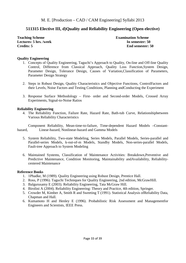## **511315 Elective III, d)Quality and Reliability Engineering (Open elective)**

**Teaching Scheme Examination Scheme Lectures: 5 hrs. /week In semester: 50 Credits: 5 End semester: 50** 

#### **Quality Engineering**

- 1. Concepts of Quality Engineering, Taguchi's Approach to Quality, On-line and Off-line Quality Control, Difference from Classical Approach, Quality Loss Function,System Design, Parameter Design, Tolerance Design, Causes of Variation,Classification of Parameters, Parameter Design Strategy
- 2. Steps in Robust Design, Quality Characteristics and Objective Functions, ControlFactors and their Levels, Noise Factors and Testing Conditions, Planning andConducting the Experiment
- 3. Response Surface Methodology First- order and Second-order Models, Crossed Array Experiments, Signal-to-Noise Ratios

#### **Reliability Engineering**

4. The Reliability Function, Failure Rate, Hazard Rate, Bath-tub Curve, Relationshipbetween Various Reliability Characteristics

Component Reliability, Mean-time-to-failure, Time-dependent Hazard Models –Constanthazard, Linear-hazard, Nonlinear-hazard and Gamma Models

- 5. System Reliability, Two-state Modeling, Series Models, Parallel Models, Series-parallel and Parallel-series Models, k-out-of-m Models, Standby Models, Non-series-parallel Models, Fault-tree Approach to System Modeling
- 6. Maintained Systems, Classification of Maintenance Activities: Breakdown,Preventive and Predictive Maintenance, Condition Monitoring, Maintainability andAvailability, Reliabilitycentered Maintenance

- 1. 1Phadke, M (1989). Quality Engineering using Robust Design, Prentice Hall.
- 2. Ross, P (1996). Taguchi Techniques for Quality Engineering, 2nd edition, McGrawHill.
- 3. Balgurusamy E (2003). Reliability Engineering, Tata McGraw Hill.
- 4. Birolini A (2004). Reliability Engineering: Theory and Practice, 4th edition, Springer.
- 5. Crowder M, Kimber A, Smith R and Sweeting T (1991). Statistical Analysis ofReliability Data, Chapman and Hall.
- 6. Kumamoto H and Henley E (1996). Probabilistic Risk Assessment and Managementfor Engineers and Scientists, IEEE Press.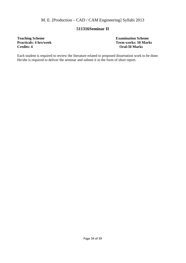## **511316Seminar II**

# **Teaching Scheme**<br> **Practicals: 4 hrs/week**<br> **Practicals: 4 hrs/week**<br> **Examination Scheme**<br> **Practicals: 4 hrs/week**

**Practicals: 4 hrs/week Term works: 50 Marks Credits: 4 control of the Credits: 4 control of the Credits: 4 control of the Credits: 4 control of the Credits: 4 control of the Credits: 4 control of the Credits: 4 control of Credits: 4 Oral:50 Marks** 

Each student is required to review the literature related to proposed dissertation work to be done. He/she is required to deliver the seminar and submit it in the form of short report.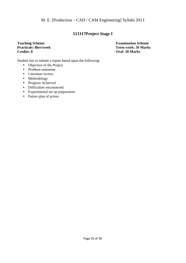## **511317Project Stage I**

**Practicals: 8hrs/week Credits: 8 Oral: 50 Marks** 

**Teaching Scheme**<br> **Practicals: 8hrs/week**<br> **Practicals: 8hrs/week**<br> **Examination Scheme**<br> **Practicals: 8hrs/week**<br> **Examination Scheme** 

Student has to submit a report based upon the following:

- Objective of the Project
- Problem statement
- Literature review
- Methodology
- Progress Achieved
- Difficulties encountered
- Experimental set up preparation
- Future plan of action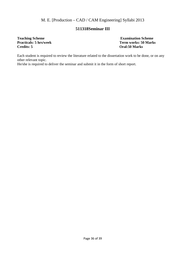## **511318Seminar III**

## **Teaching Scheme 2018** Examination Scheme **Examination Scheme Examination Scheme Practicals: 5 hrs/week Term works: 50 Mark Credits: 5 Oral:50 Marks**

**Term works: 50 Marks** 

Each student is required to review the literature related to the dissertation work to be done, or on any other relevant topic.

He/she is required to deliver the seminar and submit it in the form of short report.